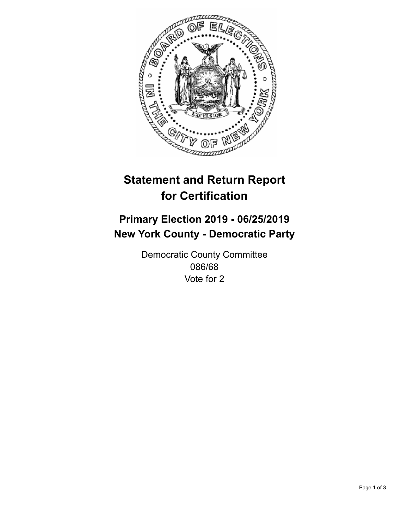

## **Statement and Return Report for Certification**

## **Primary Election 2019 - 06/25/2019 New York County - Democratic Party**

Democratic County Committee 086/68 Vote for 2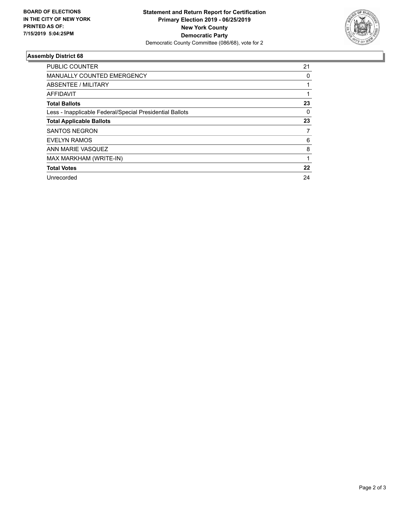

## **Assembly District 68**

| <b>PUBLIC COUNTER</b>                                    | 21 |
|----------------------------------------------------------|----|
| MANUALLY COUNTED EMERGENCY                               | 0  |
| ABSENTEE / MILITARY                                      |    |
| AFFIDAVIT                                                |    |
| <b>Total Ballots</b>                                     | 23 |
| Less - Inapplicable Federal/Special Presidential Ballots | 0  |
| <b>Total Applicable Ballots</b>                          | 23 |
| <b>SANTOS NEGRON</b>                                     | 7  |
| <b>EVELYN RAMOS</b>                                      | 6  |
| ANN MARIE VASQUEZ                                        | 8  |
| MAX MARKHAM (WRITE-IN)                                   |    |
| <b>Total Votes</b>                                       | 22 |
| Unrecorded                                               | 24 |